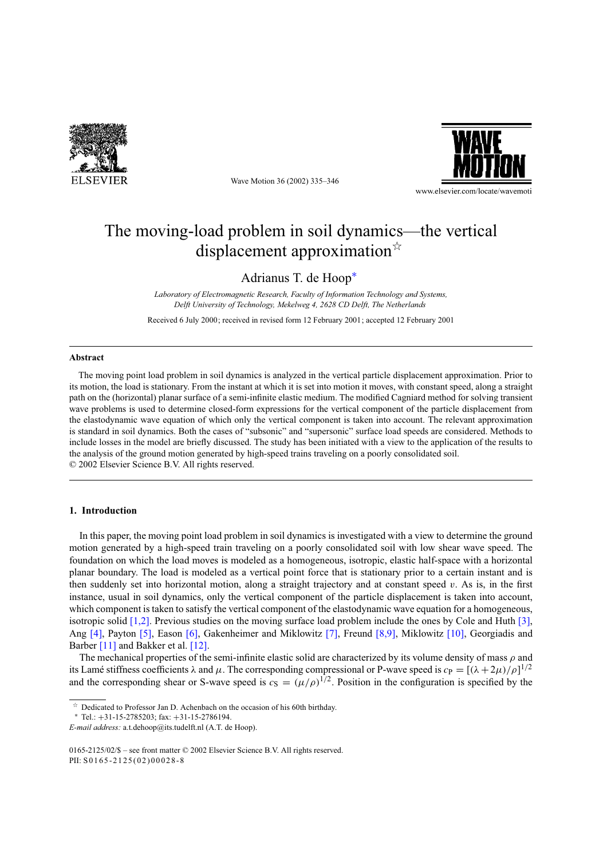

Wave Motion 36 (2002) 335–346



# The moving-load problem in soil dynamics—the vertical displacement approximation $\mathbf{\hat{z}}$

Adrianus T. de Hoop<sup>∗</sup>

*Laboratory of Electromagnetic Research, Faculty of Information Technology and Systems, Delft University of Technology, Mekelweg 4, 2628 CD Delft, The Netherlands*

Received 6 July 2000; received in revised form 12 February 2001; accepted 12 February 2001

## **Abstract**

The moving point load problem in soil dynamics is analyzed in the vertical particle displacement approximation. Prior to its motion, the load is stationary. From the instant at which it is set into motion it moves, with constant speed, along a straight path on the (horizontal) planar surface of a semi-infinite elastic medium. The modified Cagniard method for solving transient wave problems is used to determine closed-form expressions for the vertical component of the particle displacement from the elastodynamic wave equation of which only the vertical component is taken into account. The relevant approximation is standard in soil dynamics. Both the cases of "subsonic" and "supersonic" surface load speeds are considered. Methods to include losses in the model are briefly discussed. The study has been initiated with a view to the application of the results to the analysis of the ground motion generated by high-speed trains traveling on a poorly consolidated soil. © 2002 Elsevier Science B.V. All rights reserved.

## **1. Introduction**

In this paper, the moving point load problem in soil dynamics is investigated with a view to determine the ground motion generated by a high-speed train traveling on a poorly consolidated soil with low shear wave speed. The foundation on which the load moves is modeled as a homogeneous, isotropic, elastic half-space with a horizontal planar boundary. The load is modeled as a vertical point force that is stationary prior to a certain instant and is then suddenly set into horizontal motion, along a straight trajectory and at constant speed  $v$ . As is, in the first instance, usual in soil dynamics, only the vertical component of the particle displacement is taken into account, which component is taken to satisfy the vertical component of the elastodynamic wave equation for a homogeneous, isotropic solid [1,2]. Previous studies on the moving surface load problem include the ones by Cole and Huth [3], Ang [4], Payton [5], Eason [6], Gakenheimer and Miklowitz [7], Freund [8,9], Miklowitz [10], Georgiadis and Barber [11] and Bakker et al. [12].

The mechanical properties of the semi-infinite elastic solid are characterized by its volume density of mass  $\rho$  and its Lamé stiffness coefficients  $\lambda$  and  $\mu$ . The corresponding compressional or P-wave speed is  $c_P = [(\lambda + 2\mu)/\rho]^{1/2}$ and the corresponding shear or S-wave speed is  $c_S = (\mu/\rho)^{1/2}$ . Position in the configuration is specified by the

 $\overrightarrow{a}$  Dedicated to Professor Jan D. Achenbach on the occasion of his 60th birthday.

Tel.: +31-15-2785203; fax: +31-15-2786194.

*E-mail address:* a.t.dehoop@its.tudelft.nl (A.T. de Hoop).

<sup>0165-2125/02/\$ –</sup> see front matter © 2002 Elsevier Science B.V. All rights reserved. PII: S0165-2125(02)00028-8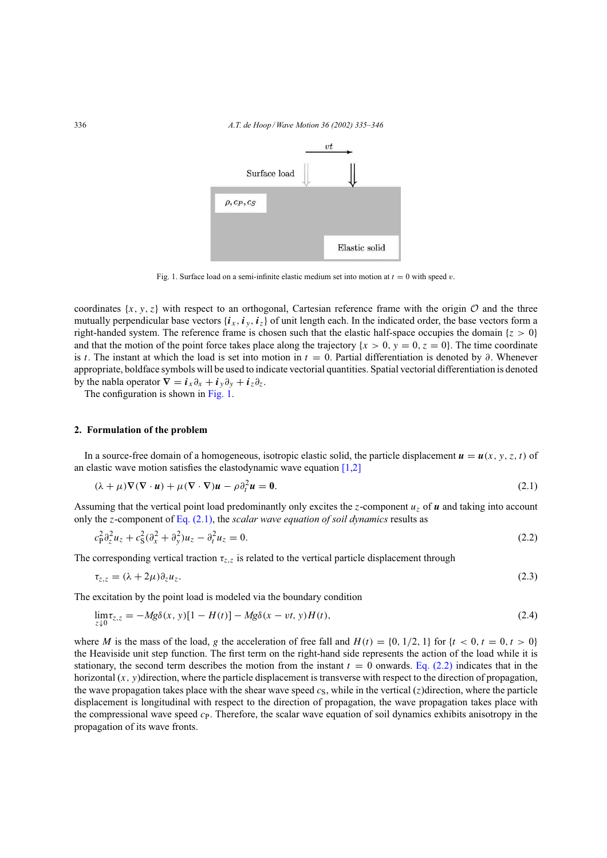

Fig. 1. Surface load on a semi-infinite elastic medium set into motion at  $t = 0$  with speed v.

coordinates  $\{x, y, z\}$  with respect to an orthogonal, Cartesian reference frame with the origin  $\mathcal O$  and the three mutually perpendicular base vectors  $\{i_x, i_y, i_z\}$  of unit length each. In the indicated order, the base vectors form a right-handed system. The reference frame is chosen such that the elastic half-space occupies the domain  $\{z > 0\}$ and that the motion of the point force takes place along the trajectory  $\{x > 0, y = 0, z = 0\}$ . The time coordinate is t. The instant at which the load is set into motion in  $t = 0$ . Partial differentiation is denoted by  $\partial$ . Whenever appropriate, boldface symbols will be used to indicate vectorial quantities. Spatial vectorial differentiation is denoted by the nabla operator  $\nabla = \mathbf{i}_x \partial_x + \mathbf{i}_y \partial_y + \mathbf{i}_z \partial_z$ .

The configuration is shown in Fig. 1.

## **2. Formulation of the problem**

In a source-free domain of a homogeneous, isotropic elastic solid, the particle displacement  $u = u(x, y, z, t)$  of an elastic wave motion satisfies the elastodynamic wave equation  $[1,2]$ 

$$
(\lambda + \mu)\nabla(\nabla \cdot \mathbf{u}) + \mu(\nabla \cdot \nabla)\mathbf{u} - \rho \partial_t^2 \mathbf{u} = \mathbf{0}.
$$
 (2.1)

Assuming that the vertical point load predominantly only excites the z-component  $u<sub>z</sub>$  of u and taking into account only the z-component of Eq. (2.1), the *scalar wave equation of soil dynamics* results as

$$
c_{\mathbf{p}}^2 \partial_z^2 u_z + c_{\mathbf{S}}^2 (\partial_x^2 + \partial_y^2) u_z - \partial_t^2 u_z = 0. \tag{2.2}
$$

The corresponding vertical traction  $\tau_{z,z}$  is related to the vertical particle displacement through

$$
\tau_{z,z} = (\lambda + 2\mu)\partial_z u_z. \tag{2.3}
$$

The excitation by the point load is modeled via the boundary condition

$$
\lim_{z \downarrow 0} \tau_{z,z} = -Mg\delta(x, y)[1 - H(t)] - Mg\delta(x - vt, y)H(t),\tag{2.4}
$$

where M is the mass of the load, g the acceleration of free fall and  $H(t) = \{0, 1/2, 1\}$  for  $\{t < 0, t = 0, t > 0\}$ the Heaviside unit step function. The first term on the right-hand side represents the action of the load while it is stationary, the second term describes the motion from the instant  $t = 0$  onwards. Eq. (2.2) indicates that in the horizontal  $(x, y)$  direction, where the particle displacement is transverse with respect to the direction of propagation, the wave propagation takes place with the shear wave speed  $c_S$ , while in the vertical (z)direction, where the particle displacement is longitudinal with respect to the direction of propagation, the wave propagation takes place with the compressional wave speed  $c<sub>P</sub>$ . Therefore, the scalar wave equation of soil dynamics exhibits anisotropy in the propagation of its wave fronts.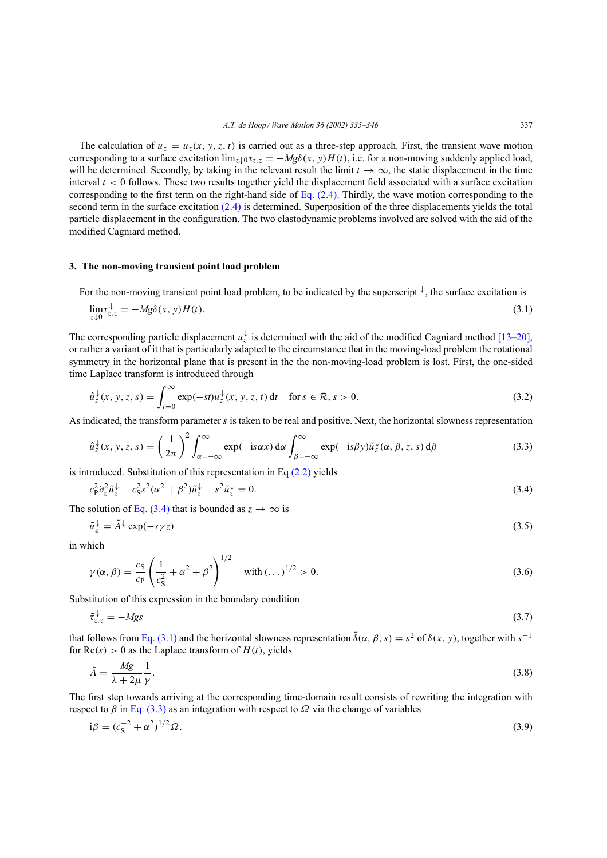The calculation of  $u_z = u_z(x, y, z, t)$  is carried out as a three-step approach. First, the transient wave motion corresponding to a surface excitation  $\lim_{z \downarrow 0} \tau_{z,z} = -Mg\delta(x, y)H(t)$ , i.e. for a non-moving suddenly applied load, will be determined. Secondly, by taking in the relevant result the limit  $t \to \infty$ , the static displacement in the time interval  $t < 0$  follows. These two results together yield the displacement field associated with a surface excitation corresponding to the first term on the right-hand side of Eq. (2.4). Thirdly, the wave motion corresponding to the second term in the surface excitation (2.4) is determined. Superposition of the three displacements yields the total particle displacement in the configuration. The two elastodynamic problems involved are solved with the aid of the modified Cagniard method.

## **3. The non-moving transient point load problem**

For the non-moving transient point load problem, to be indicated by the superscript  $\downarrow$ , the surface excitation is

$$
\lim_{z \downarrow 0} \tau_{z,z}^{\downarrow} = -Mg\delta(x, y)H(t). \tag{3.1}
$$

The corresponding particle displacement  $u_z^{\downarrow}$  is determined with the aid of the modified Cagniard method [13–20], or rather a variant of it that is particularly adapted to the circumstance that in the moving-load problem the rotational symmetry in the horizontal plane that is present in the the non-moving-load problem is lost. First, the one-sided time Laplace transform is introduced through

$$
\hat{u}_z^{\downarrow}(x, y, z, s) = \int_{t=0}^{\infty} \exp(-st) u_z^{\downarrow}(x, y, z, t) dt \quad \text{for } s \in \mathcal{R}, s > 0.
$$
 (3.2)

As indicated, the transform parameter s is taken to be real and positive. Next, the horizontal slowness representation

$$
\hat{u}_z^{\downarrow}(x, y, z, s) = \left(\frac{1}{2\pi}\right)^2 \int_{\alpha=-\infty}^{\infty} \exp(-is\alpha x) d\alpha \int_{\beta=-\infty}^{\infty} \exp(-is\beta y) \tilde{u}_z^{\downarrow}(\alpha, \beta, z, s) d\beta \tag{3.3}
$$

is introduced. Substitution of this representation in Eq. $(2.2)$  yields

$$
c_P^2 \partial_z^2 \tilde{u}_z^{\downarrow} - c_S^2 s^2 (\alpha^2 + \beta^2) \tilde{u}_z^{\downarrow} - s^2 \tilde{u}_z^{\downarrow} = 0. \tag{3.4}
$$

The solution of Eq. (3.4) that is bounded as  $z \to \infty$  is

$$
\tilde{u}_z^{\downarrow} = \tilde{A}^{\downarrow} \exp(-s\gamma z) \tag{3.5}
$$

in which

$$
\gamma(\alpha, \beta) = \frac{c_S}{c_P} \left( \frac{1}{c_S^2} + \alpha^2 + \beta^2 \right)^{1/2} \quad \text{with } (\dots)^{1/2} > 0.
$$
 (3.6)

Substitution of this expression in the boundary condition

$$
\tilde{\tau}_{z,z}^{\downarrow} = -Mgs \tag{3.7}
$$

that follows from Eq. (3.1) and the horizontal slowness representation  $\tilde{\delta}(\alpha, \beta, s) = s^2$  of  $\delta(x, y)$ , together with  $s^{-1}$ for  $Re(s) > 0$  as the Laplace transform of  $H(t)$ , yields

$$
\tilde{A} = \frac{Mg}{\lambda + 2\mu} \frac{1}{\gamma}.\tag{3.8}
$$

The first step towards arriving at the corresponding time-domain result consists of rewriting the integration with respect to  $\beta$  in Eq. (3.3) as an integration with respect to  $\Omega$  via the change of variables

$$
i\beta = (c_S^{-2} + \alpha^2)^{1/2} \Omega.
$$
\n(3.9)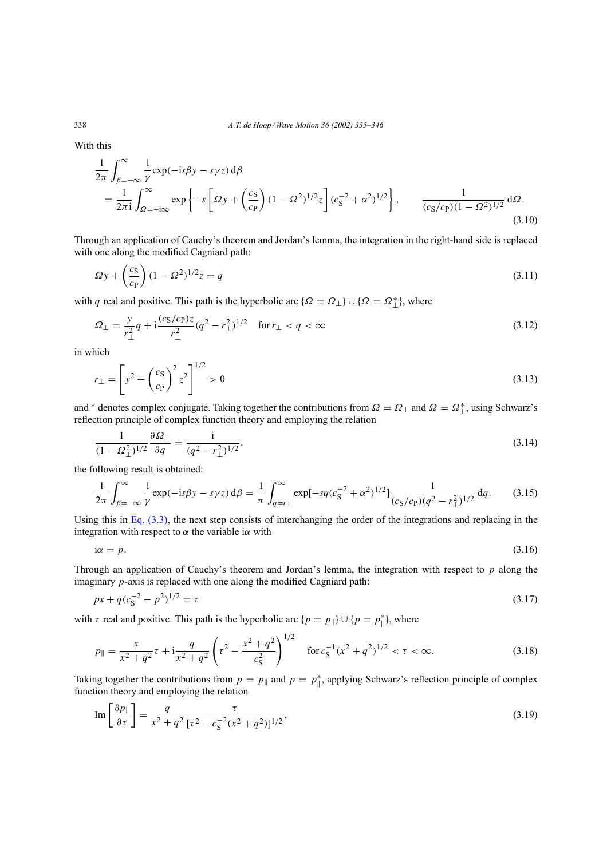With this

$$
\frac{1}{2\pi} \int_{\beta=-\infty}^{\infty} \frac{1}{\gamma} \exp(-is\beta y - s\gamma z) d\beta
$$
\n
$$
= \frac{1}{2\pi i} \int_{\Omega=-i\infty}^{\infty} \exp\left\{-s \left[\Omega y + \left(\frac{cs}{c_P}\right) (1 - \Omega^2)^{1/2} z\right] (c_S^{-2} + \alpha^2)^{1/2} \right\}, \qquad \frac{1}{(cs/c_P)(1 - \Omega^2)^{1/2}} d\Omega.
$$
\n(3.10)

Through an application of Cauchy's theorem and Jordan's lemma, the integration in the right-hand side is replaced with one along the modified Cagniard path:

$$
\Omega y + \left(\frac{c_S}{c_P}\right) (1 - \Omega^2)^{1/2} z = q \tag{3.11}
$$

with q real and positive. This path is the hyperbolic arc  $\{\Omega = \Omega_{\perp}\}\cup\{\Omega = \Omega_{\perp}^*\}$ , where

$$
\Omega_{\perp} = \frac{y}{r_{\perp}^2} q + i \frac{(c_S/c_P)z}{r_{\perp}^2} (q^2 - r_{\perp}^2)^{1/2} \quad \text{for } r_{\perp} < q < \infty \tag{3.12}
$$

in which

$$
r_{\perp} = \left[ y^2 + \left( \frac{c_S}{c_P} \right)^2 z^2 \right]^{1/2} > 0 \tag{3.13}
$$

and \* denotes complex conjugate. Taking together the contributions from  $\Omega = \Omega_{\perp}$  and  $\Omega = \Omega_{\perp}^*$ , using Schwarz's reflection principle of complex function theory and employing the relation

$$
\frac{1}{(1-\Omega_{\perp}^2)^{1/2}} \frac{\partial \Omega_{\perp}}{\partial q} = \frac{i}{(q^2 - r_{\perp}^2)^{1/2}},
$$
\n(3.14)

the following result is obtained:

$$
\frac{1}{2\pi} \int_{\beta=-\infty}^{\infty} \frac{1}{\gamma} \exp(-is\beta y - s\gamma z) d\beta = \frac{1}{\pi} \int_{q=r_{\perp}}^{\infty} \exp[-sq(c_{\rm S}^{-2} + \alpha^2)^{1/2}] \frac{1}{(c_{\rm S}/c_{\rm P})(q^2 - r_{\perp}^2)^{1/2}} dq.
$$
 (3.15)

Using this in Eq. (3.3), the next step consists of interchanging the order of the integrations and replacing in the integration with respect to  $\alpha$  the variable i $\alpha$  with

$$
i\alpha = p. \tag{3.16}
$$

Through an application of Cauchy's theorem and Jordan's lemma, the integration with respect to  $p$  along the imaginary p-axis is replaced with one along the modified Cagniard path:

$$
px + q(cS-2 - p2)1/2 = \tau
$$
\n(3.17)

with  $\tau$  real and positive. This path is the hyperbolic arc  $\{p = p_{\parallel}\} \cup \{p = p_{\parallel}^*\}$ , where

$$
p_{\parallel} = \frac{x}{x^2 + q^2} \tau + i \frac{q}{x^2 + q^2} \left( \tau^2 - \frac{x^2 + q^2}{c_S^2} \right)^{1/2} \quad \text{for } c_S^{-1} (x^2 + q^2)^{1/2} < \tau < \infty. \tag{3.18}
$$

Taking together the contributions from  $p = p_{\parallel}$  and  $p = p_{\parallel}^*$ , applying Schwarz's reflection principle of complex function theory and employing the relation

$$
\operatorname{Im}\left[\frac{\partial p_{\parallel}}{\partial \tau}\right] = \frac{q}{x^2 + q^2} \frac{\tau}{[\tau^2 - c_S^{-2}(x^2 + q^2)]^{1/2}},\tag{3.19}
$$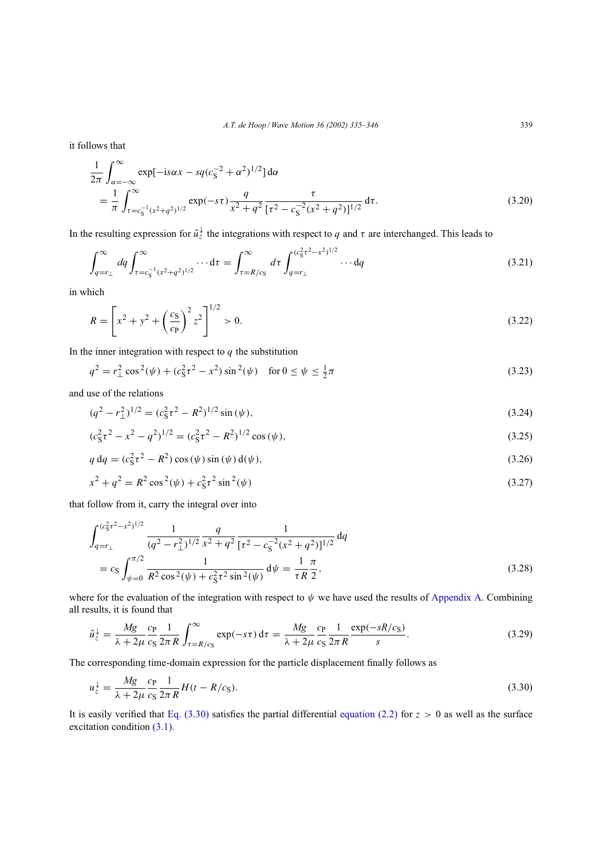it follows that

$$
\frac{1}{2\pi} \int_{\alpha = -\infty}^{\infty} \exp[-i s \alpha x - s q (c_S^{-2} + \alpha^2)^{1/2}] d\alpha
$$
  
= 
$$
\frac{1}{\pi} \int_{\tau = c_S^{-1} (x^2 + q^2)^{1/2}}^{\infty} \exp(-s\tau) \frac{q}{x^2 + q^2} \frac{\tau}{[\tau^2 - c_S^{-2} (x^2 + q^2)]^{1/2}} d\tau.
$$
 (3.20)

In the resulting expression for  $\hat{u}_z^{\downarrow}$  the integrations with respect to q and  $\tau$  are interchanged. This leads to

$$
\int_{q=r_{\perp}}^{\infty} dq \int_{\tau=c_{\rm S}^{-1}(x^2+q^2)^{1/2}}^{\infty} \cdots d\tau = \int_{\tau=R/c_{\rm S}}^{\infty} d\tau \int_{q=r_{\perp}}^{(c_{\rm S}^2 \tau^2 - x^2)^{1/2}} \cdots dq \tag{3.21}
$$

in which

$$
R = \left[x^2 + y^2 + \left(\frac{c_S}{c_P}\right)^2 z^2\right]^{1/2} > 0.
$$
\n(3.22)

In the inner integration with respect to  $q$  the substitution

$$
q^{2} = r_{\perp}^{2} \cos^{2}(\psi) + (c_{S}^{2} \tau^{2} - x^{2}) \sin^{2}(\psi) \quad \text{for } 0 \le \psi \le \frac{1}{2}\pi
$$
 (3.23)

and use of the relations

$$
(q2 - r12)1/2 = (c52 + r2)1/2 sin (\psi),
$$
\n(3.24)

$$
(c_S^2 \tau^2 - x^2 - q^2)^{1/2} = (c_S^2 \tau^2 - R^2)^{1/2} \cos(\psi),
$$
\n(3.25)

$$
q dq = (c_S^2 \tau^2 - R^2) \cos (\psi) \sin (\psi) d(\psi),
$$
\n(3.26)

$$
x^{2} + q^{2} = R^{2} \cos^{2}(\psi) + c_{S}^{2} \tau^{2} \sin^{2}(\psi)
$$
\n(3.27)

that follow from it, carry the integral over into

$$
\int_{q=r_{\perp}}^{(c_5^2 \tau^2 - x^2)^{1/2}} \frac{1}{(q^2 - r_{\perp}^2)^{1/2}} \frac{q}{x^2 + q^2} \frac{1}{[\tau^2 - c_5^{-2}(x^2 + q^2)]^{1/2}} dq
$$
  
=  $c_S \int_{\psi=0}^{\pi/2} \frac{1}{R^2 \cos^2(\psi) + c_5^2 \tau^2 \sin^2(\psi)} d\psi = \frac{1}{\tau R} \frac{\pi}{2},$  (3.28)

where for the evaluation of the integration with respect to  $\psi$  we have used the results of Appendix A. Combining all results, it is found that

$$
\hat{u}_z^{\downarrow} = \frac{Mg}{\lambda + 2\mu} \frac{c_P}{c_S} \frac{1}{2\pi R} \int_{\tau = R/c_S}^{\infty} \exp(-s\tau) d\tau = \frac{Mg}{\lambda + 2\mu} \frac{c_P}{c_S} \frac{1}{2\pi R} \frac{\exp(-sR/c_S)}{s}.
$$
\n(3.29)

The corresponding time-domain expression for the particle displacement finally follows as

$$
u_z^{\downarrow} = \frac{Mg}{\lambda + 2\mu} \frac{c_P}{c_S} \frac{1}{2\pi R} H(t - R/c_S).
$$
\n(3.30)

It is easily verified that Eq.  $(3.30)$  satisfies the partial differential equation (2.2) for  $z > 0$  as well as the surface excitation condition (3.1).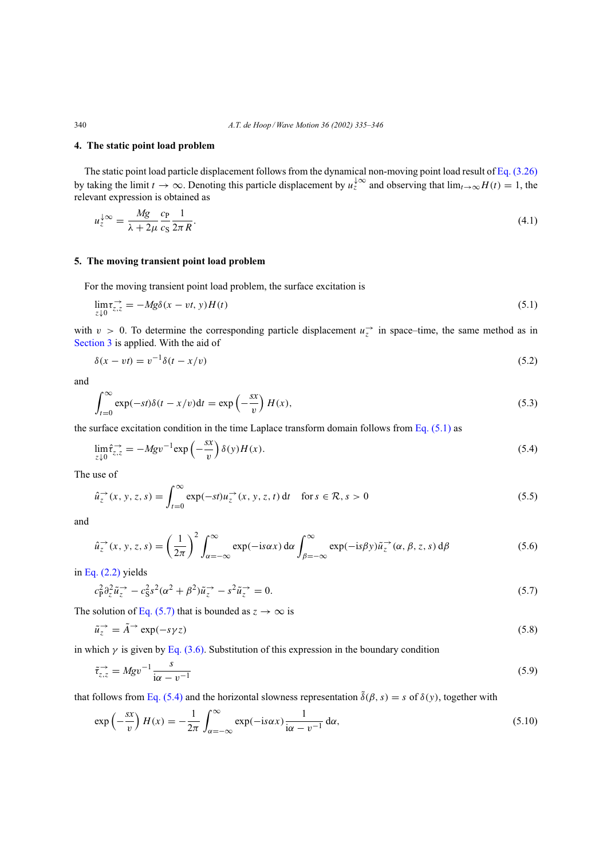## **4. The static point load problem**

The static point load particle displacement follows from the dynamical non-moving point load result of Eq. (3.26) by taking the limit  $t \to \infty$ . Denoting this particle displacement by  $u_z^{\downarrow\infty}$  and observing that  $\lim_{t\to\infty} H(t) = 1$ , the relevant expression is obtained as

$$
u_z^{\downarrow\infty} = \frac{Mg}{\lambda + 2\mu} \frac{c_P}{c_S} \frac{1}{2\pi R}.
$$
\n(4.1)

# **5. The moving transient point load problem**

For the moving transient point load problem, the surface excitation is

$$
\lim_{z \downarrow 0} \tau_{z,z}^{\rightarrow} = -Mg\delta(x - vt, y)H(t)
$$
\n(5.1)

with  $v > 0$ . To determine the corresponding particle displacement  $u_z^{\rightarrow}$  in space–time, the same method as in Section 3 is applied. With the aid of

$$
\delta(x - vt) = v^{-1}\delta(t - x/v) \tag{5.2}
$$

and

$$
\int_{t=0}^{\infty} \exp(-st)\delta(t - x/v)dt = \exp\left(-\frac{sx}{v}\right)H(x),\tag{5.3}
$$

the surface excitation condition in the time Laplace transform domain follows from Eq.  $(5.1)$  as

$$
\lim_{z \downarrow 0} \hat{\tau}_{z,z}^{\rightarrow} = -M g v^{-1} \exp\left(-\frac{sx}{v}\right) \delta(y) H(x). \tag{5.4}
$$

The use of

$$
\hat{u}_z^{\rightarrow}(x, y, z, s) = \int_{t=0}^{\infty} \exp(-st) u_z^{\rightarrow}(x, y, z, t) dt \quad \text{for } s \in \mathcal{R}, s > 0
$$
\n(5.5)

and

$$
\hat{u}_z^{\rightarrow}(x, y, z, s) = \left(\frac{1}{2\pi}\right)^2 \int_{\alpha=-\infty}^{\infty} \exp(-is\alpha x) d\alpha \int_{\beta=-\infty}^{\infty} \exp(-is\beta y) \tilde{u}_z^{\rightarrow}(\alpha, \beta, z, s) d\beta
$$
\n(5.6)

in Eq. (2.2) yields

$$
c_P^2 \partial_z^2 \tilde{u}_z^{\rightarrow} - c_S^2 s^2 (\alpha^2 + \beta^2) \tilde{u}_z^{\rightarrow} - s^2 \tilde{u}_z^{\rightarrow} = 0. \tag{5.7}
$$

The solution of Eq. (5.7) that is bounded as  $z \to \infty$  is

$$
\tilde{u}_z^{\rightarrow} = \tilde{A}^{\rightarrow} \exp(-s\gamma z) \tag{5.8}
$$

in which  $\gamma$  is given by Eq. (3.6). Substitution of this expression in the boundary condition

$$
\tilde{\tau}_{z,z}^{\rightarrow} = M g v^{-1} \frac{s}{i\alpha - v^{-1}} \tag{5.9}
$$

that follows from Eq. (5.4) and the horizontal slowness representation  $\tilde{\delta}(\beta, s) = s$  of  $\delta(y)$ , together with

$$
\exp\left(-\frac{sx}{v}\right)H(x) = -\frac{1}{2\pi} \int_{\alpha=-\infty}^{\infty} \exp(-is\alpha x) \frac{1}{i\alpha - v^{-1}} d\alpha, \tag{5.10}
$$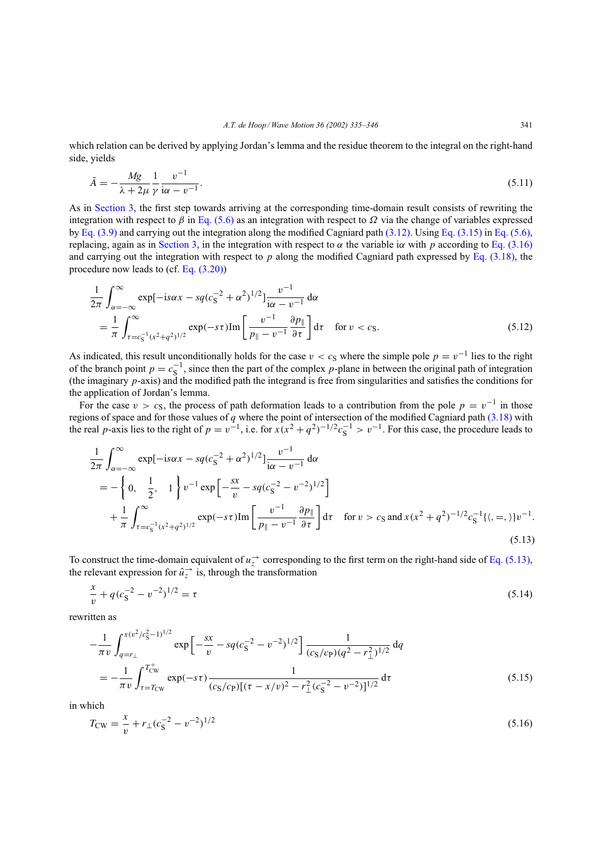which relation can be derived by applying Jordan's lemma and the residue theorem to the integral on the right-hand side, yields

$$
\tilde{A} = -\frac{Mg}{\lambda + 2\mu} \frac{1}{\gamma} \frac{v^{-1}}{\mathfrak{i}\alpha - v^{-1}}.
$$
\n
$$
(5.11)
$$

As in Section 3, the first step towards arriving at the corresponding time-domain result consists of rewriting the integration with respect to  $\beta$  in Eq. (5.6) as an integration with respect to  $\Omega$  via the change of variables expressed by Eq. (3.9) and carrying out the integration along the modified Cagniard path (3.12). Using Eq. (3.15) in Eq. (5.6), replacing, again as in Section 3, in the integration with respect to  $\alpha$  the variable i $\alpha$  with  $p$  according to Eq. (3.16) and carrying out the integration with respect to p along the modified Cagniard path expressed by Eq.  $(3.18)$ , the procedure now leads to (cf. Eq. (3.20))

$$
\frac{1}{2\pi} \int_{\alpha = -\infty}^{\infty} \exp[-i s \alpha x - s q (c_5^{-2} + \alpha^2)^{1/2}] \frac{v^{-1}}{i \alpha - v^{-1}} d\alpha \n= \frac{1}{\pi} \int_{\tau = c_5^{-1} (x^2 + q^2)^{1/2}}^{\infty} \exp(-s\tau) \text{Im} \left[ \frac{v^{-1}}{p_{\parallel} - v^{-1}} \frac{\partial p_{\parallel}}{\partial \tau} \right] d\tau \quad \text{for } v < c_5.
$$
\n(5.12)

As indicated, this result unconditionally holds for the case  $v < c_S$  where the simple pole  $p = v^{-1}$  lies to the right of the branch point  $p = c_S^{-1}$ , since then the part of the complex p-plane in between the original path of integration (the imaginary  $p$ -axis) and the modified path the integrand is free from singularities and satisfies the conditions for the application of Jordan's lemma.

For the case  $v > c_S$ , the process of path deformation leads to a contribution from the pole  $p = v^{-1}$  in those regions of space and for those values of q where the point of intersection of the modified Cagniard path  $(3.18)$  with the real p-axis lies to the right of  $p = v^{-1}$ , i.e. for  $x(x^2 + q^2)^{-1/2} c_S^{-1} > v^{-1}$ . For this case, the procedure leads to

$$
\frac{1}{2\pi} \int_{\alpha=-\infty}^{\infty} \exp[-is\alpha x - sq(c_{\mathcal{S}}^{-2} + \alpha^2)^{1/2}] \frac{v^{-1}}{i\alpha - v^{-1}} d\alpha \n= -\left\{ 0, \frac{1}{2}, 1 \right\} v^{-1} \exp\left[ -\frac{sx}{v} - sq(c_{\mathcal{S}}^{-2} - v^{-2})^{1/2} \right] \n+ \frac{1}{\pi} \int_{\tau=c_{\mathcal{S}}^{-1}(x^2 + q^2)^{1/2}}^{\infty} \exp(-s\tau) \text{Im}\left[ \frac{v^{-1}}{p_{\parallel} - v^{-1}} \frac{\partial p_{\parallel}}{\partial \tau} \right] d\tau \text{ for } v > c_{\mathcal{S}} \text{ and } x(x^2 + q^2)^{-1/2} c_{\mathcal{S}}^{-1} \{ \langle , =, \rangle \} v^{-1}.
$$
\n(5.13)

To construct the time-domain equivalent of  $u_z^{\rightarrow}$  corresponding to the first term on the right-hand side of Eq. (5.13), the relevant expression for  $\hat{u}^{\rightarrow}_z$  is, through the transformation

$$
\frac{x}{v} + q(c_{\rm S}^{-2} - v^{-2})^{1/2} = \tau \tag{5.14}
$$

rewritten as

$$
-\frac{1}{\pi v} \int_{q=r_{\perp}}^{x(v^2/c_S^2-1)^{1/2}} \exp\left[-\frac{sx}{v} - sq(c_S^{-2} - v^{-2})^{1/2}\right] \frac{1}{(c_S/c_P)(q^2 - r_{\perp}^2)^{1/2}} dq
$$
  
= 
$$
-\frac{1}{\pi v} \int_{\tau=T_{CW}}^{T_{CW}^+} \exp(-s\tau) \frac{1}{(c_S/c_P)[(\tau - x/v)^2 - r_{\perp}^2(c_S^{-2} - v^{-2})]^{1/2}} d\tau
$$
(5.15)

in which

$$
T_{\rm CW} = \frac{x}{v} + r_{\perp} (c_{\rm S}^{-2} - v^{-2})^{1/2} \tag{5.16}
$$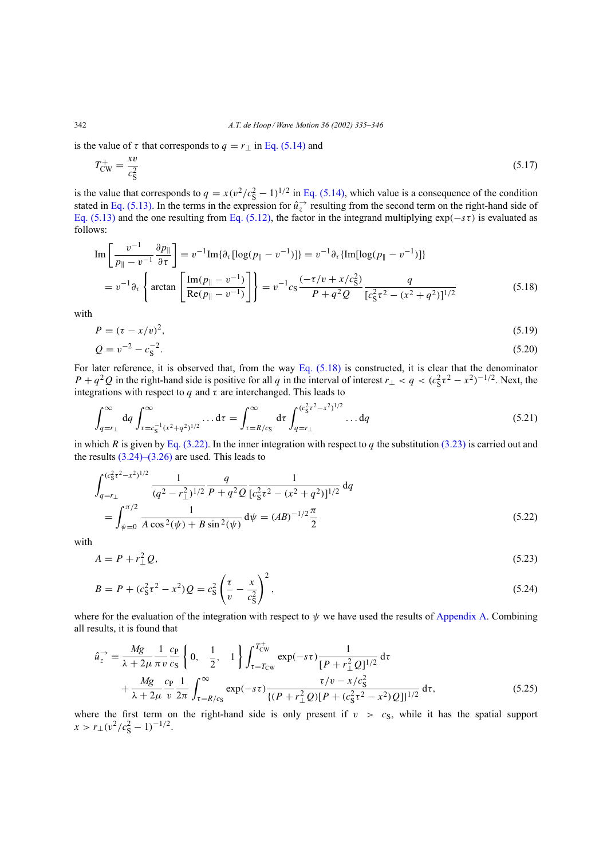342 *A.T. de Hoop / Wave Motion 36 (2002) 335–346*

is the value of  $\tau$  that corresponds to  $q = r_{\perp}$  in Eq. (5.14) and

$$
T_{\rm CW}^{+} = \frac{xv}{c_{\rm S}^2} \tag{5.17}
$$

is the value that corresponds to  $q = x(v^2/c_s^2 - 1)^{1/2}$  in Eq. (5.14), which value is a consequence of the condition stated in Eq. (5.13). In the terms in the expression for  $\hat{u}^{\rightarrow}_z$  resulting from the second term on the right-hand side of Eq. (5.13) and the one resulting from Eq. (5.12), the factor in the integrand multiplying  $\exp(-s\tau)$  is evaluated as follows:

$$
\operatorname{Im}\left[\frac{v^{-1}}{p_{\parallel}-v^{-1}}\frac{\partial p_{\parallel}}{\partial \tau}\right] = v^{-1}\operatorname{Im}\{\partial_{\tau}[\log(p_{\parallel}-v^{-1})]\} = v^{-1}\partial_{\tau}\{\operatorname{Im}[\log(p_{\parallel}-v^{-1})]\}
$$

$$
= v^{-1}\partial_{\tau}\left\{\arctan\left[\frac{\operatorname{Im}(p_{\parallel}-v^{-1})}{\operatorname{Re}(p_{\parallel}-v^{-1})}\right]\right\} = v^{-1}c_{\mathrm{S}}\frac{(-\tau/v + x/c_{\mathrm{S}}^2)}{P+q^2Q}\frac{q}{[c_{\mathrm{S}}^2\tau^2 - (x^2+q^2)]^{1/2}}\tag{5.18}
$$

with

$$
P = (\tau - x/v)^2,\tag{5.19}
$$

$$
Q = v^{-2} - c_{\rm S}^{-2}.\tag{5.20}
$$

For later reference, it is observed that, from the way Eq.  $(5.18)$  is constructed, it is clear that the denominator  $P + q^2 Q$  in the right-hand side is positive for all q in the interval of interest  $r_\perp < q < (c_S^2 \tau^2 - x^2)^{-1/2}$ . Next, the integrations with respect to q and  $\tau$  are interchanged. This leads to

$$
\int_{q=r_{\perp}}^{\infty} dq \int_{\tau=c_{\rm S}^{-1}(x^2+q^2)^{1/2}}^{\infty} \dots d\tau = \int_{\tau=R/c_{\rm S}}^{\infty} d\tau \int_{q=r_{\perp}}^{(c_{\rm S}^2 \tau^2 - x^2)^{1/2}} \dots dq \tag{5.21}
$$

in which R is given by Eq. (3.22). In the inner integration with respect to q the substitution (3.23) is carried out and the results  $(3.24)$ – $(3.26)$  are used. This leads to

$$
\int_{q=r_{\perp}}^{(c_8^2 \tau^2 - x^2)^{1/2}} \frac{1}{(q^2 - r_{\perp}^2)^{1/2}} \frac{q}{P + q^2 Q} \frac{1}{[c_8^2 \tau^2 - (x^2 + q^2)]^{1/2}} dq
$$
  
= 
$$
\int_{\psi=0}^{\pi/2} \frac{1}{A \cos^2(\psi) + B \sin^2(\psi)} d\psi = (AB)^{-1/2} \frac{\pi}{2}
$$
 (5.22)

with

$$
A = P + r_{\perp}^2 Q,\tag{5.23}
$$

$$
B = P + (c_S^2 \tau^2 - x^2) Q = c_S^2 \left(\frac{\tau}{v} - \frac{x}{c_S^2}\right)^2,
$$
\n(5.24)

where for the evaluation of the integration with respect to  $\psi$  we have used the results of Appendix A. Combining all results, it is found that

$$
\hat{u}_z^{\rightarrow} = \frac{Mg}{\lambda + 2\mu} \frac{1}{\pi v} \frac{c_P}{c_S} \left\{ 0, \frac{1}{2}, 1 \right\} \int_{\tau = T_{CW}}^{T_{CW}^+} \exp(-s\tau) \frac{1}{[P + r_{\perp}^2 Q]^{1/2}} d\tau \n+ \frac{Mg}{\lambda + 2\mu} \frac{c_P}{v} \frac{1}{2\pi} \int_{\tau = R/c_S}^{\infty} \exp(-s\tau) \frac{\tau/v - x/c_S^2}{\{(P + r_{\perp}^2 Q)[P + (c_S^2 \tau^2 - x^2)Q]\}^{1/2}} d\tau,
$$
\n(5.25)

where the first term on the right-hand side is only present if  $v > c<sub>S</sub>$ , while it has the spatial support  $x > r_{\perp} (v^2/c_s^2 - 1)^{-1/2}.$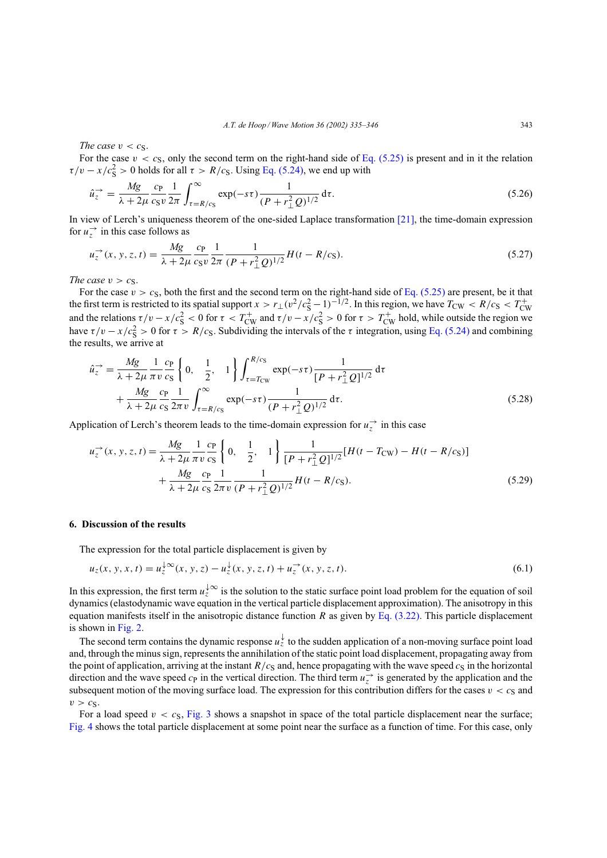*The case*  $v < c_s$ .

For the case  $v < c<sub>S</sub>$ , only the second term on the right-hand side of Eq. (5.25) is present and in it the relation  $\tau/v - x/c_s^2 > 0$  holds for all  $\tau > R/c_s$ . Using Eq. (5.24), we end up with

$$
\hat{u}_z^{\to} = \frac{Mg}{\lambda + 2\mu} \frac{c_P}{c_S v} \frac{1}{2\pi} \int_{\tau = R/c_S}^{\infty} \exp(-s\tau) \frac{1}{(P + r_\perp^2 Q)^{1/2}} d\tau.
$$
 (5.26)

In view of Lerch's uniqueness theorem of the one-sided Laplace transformation [21], the time-domain expression for  $u_z^{\rightarrow}$  in this case follows as

$$
u_z^{\to}(x, y, z, t) = \frac{Mg}{\lambda + 2\mu} \frac{c_P}{c_S v} \frac{1}{2\pi} \frac{1}{(P + r_\perp^2 Q)^{1/2}} H(t - R/c_S).
$$
 (5.27)

*The case*  $v > c_S$ .

For the case  $v > c_S$ , both the first and the second term on the right-hand side of Eq. (5.25) are present, be it that the first term is restricted to its spatial support  $x > r_{\perp} (v^2/c_S^2 - 1)^{-1/2}$ . In this region, we have  $T_{\text{CW}} < R/c_S < T_{\text{CW}}^+$ <br>and the relations  $\tau/v - x/c_S^2 < 0$  for  $\tau < T_{\text{CW}}^+$  and  $\tau/v - x/c_S^2 > 0$  for  $\tau > T_{\text{CW}}^+$  ho have  $\tau/v - x/c_s^2 > 0$  for  $\tau > R/c_s$ . Subdividing the intervals of the  $\tau$  integration, using Eq. (5.24) and combining the results, we arrive at

$$
\hat{u}_z^{\rightarrow} = \frac{Mg}{\lambda + 2\mu} \frac{1}{\pi v} \frac{c_P}{c_S} \left\{ 0, \frac{1}{2}, 1 \right\} \int_{\tau = T_{\text{CW}}}^{R/c_S} \exp(-s\tau) \frac{1}{[P + r_{\perp}^2 Q]^{1/2}} d\tau \n+ \frac{Mg}{\lambda + 2\mu} \frac{c_P}{c_S} \frac{1}{2\pi v} \int_{\tau = R/c_S}^{\infty} \exp(-s\tau) \frac{1}{(P + r_{\perp}^2 Q)^{1/2}} d\tau.
$$
\n(5.28)

Application of Lerch's theorem leads to the time-domain expression for  $u_z^{\rightarrow}$  in this case

$$
u_z^{\rightarrow}(x, y, z, t) = \frac{Mg}{\lambda + 2\mu} \frac{1}{\pi v} \frac{c_P}{c_S} \left\{ 0, \frac{1}{2}, 1 \right\} \frac{1}{[P + r_\perp^2 Q]^{1/2}} [H(t - T_{\text{CW}}) - H(t - R/c_S)] + \frac{Mg}{\lambda + 2\mu} \frac{c_P}{c_S} \frac{1}{2\pi v} \frac{1}{(P + r_\perp^2 Q)^{1/2}} H(t - R/c_S).
$$
 (5.29)

## **6. Discussion of the results**

The expression for the total particle displacement is given by

$$
u_z(x, y, x, t) = u_z^{\downarrow \infty}(x, y, z) - u_z^{\downarrow}(x, y, z, t) + u_z^{\rightarrow}(x, y, z, t).
$$
\n(6.1)

In this expression, the first term  $u_z^{\downarrow\infty}$  is the solution to the static surface point load problem for the equation of soil dynamics (elastodynamic wave equation in the vertical particle displacement approximation). The anisotropy in this equation manifests itself in the anisotropic distance function R as given by Eq.  $(3.22)$ . This particle displacement is shown in Fig. 2.

The second term contains the dynamic response  $u_z^{\downarrow}$  to the sudden application of a non-moving surface point load and, through the minus sign, represents the annihilation of the static point load displacement, propagating away from the point of application, arriving at the instant  $R/c<sub>S</sub>$  and, hence propagating with the wave speed  $c<sub>S</sub>$  in the horizontal direction and the wave speed  $c_P$  in the vertical direction. The third term  $u_z^{\rightarrow}$  is generated by the application and the subsequent motion of the moving surface load. The expression for this contribution differs for the cases  $v < c<sub>S</sub>$  and  $v > c_S$ .

For a load speed  $v < c<sub>S</sub>$ , Fig. 3 shows a snapshot in space of the total particle displacement near the surface; Fig. 4 shows the total particle displacement at some point near the surface as a function of time. For this case, only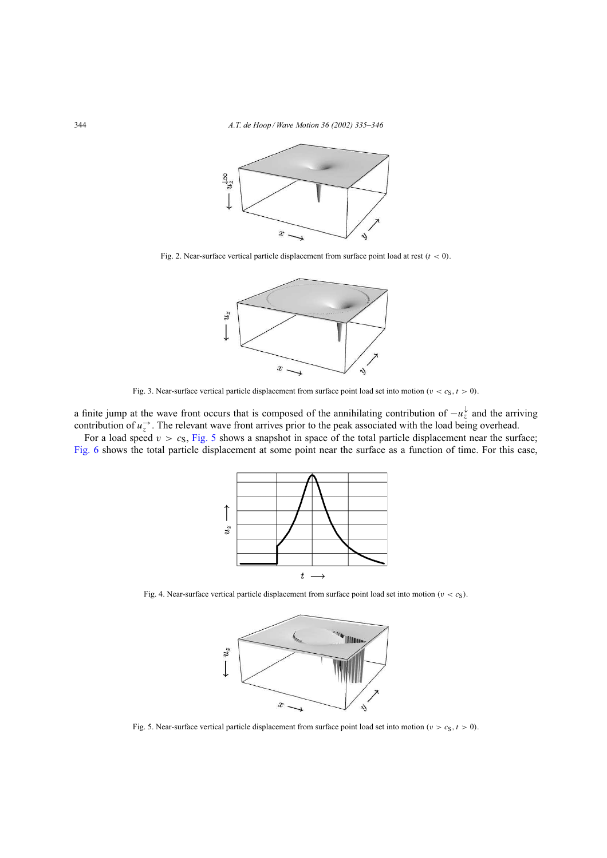

Fig. 2. Near-surface vertical particle displacement from surface point load at rest ( $t < 0$ ).



Fig. 3. Near-surface vertical particle displacement from surface point load set into motion ( $v < c<sub>S</sub>$ ,  $t > 0$ ).

a finite jump at the wave front occurs that is composed of the annihilating contribution of  $-u_z^{\downarrow}$  and the arriving contribution of  $u_z^{\rightarrow}$ . The relevant wave front arrives prior to the peak associated with the load being overhead.

For a load speed  $v > c_s$ , Fig. 5 shows a snapshot in space of the total particle displacement near the surface; Fig. 6 shows the total particle displacement at some point near the surface as a function of time. For this case,



Fig. 4. Near-surface vertical particle displacement from surface point load set into motion ( $v < c<sub>S</sub>$ ).



Fig. 5. Near-surface vertical particle displacement from surface point load set into motion ( $v > c<sub>S</sub>$ ,  $t > 0$ ).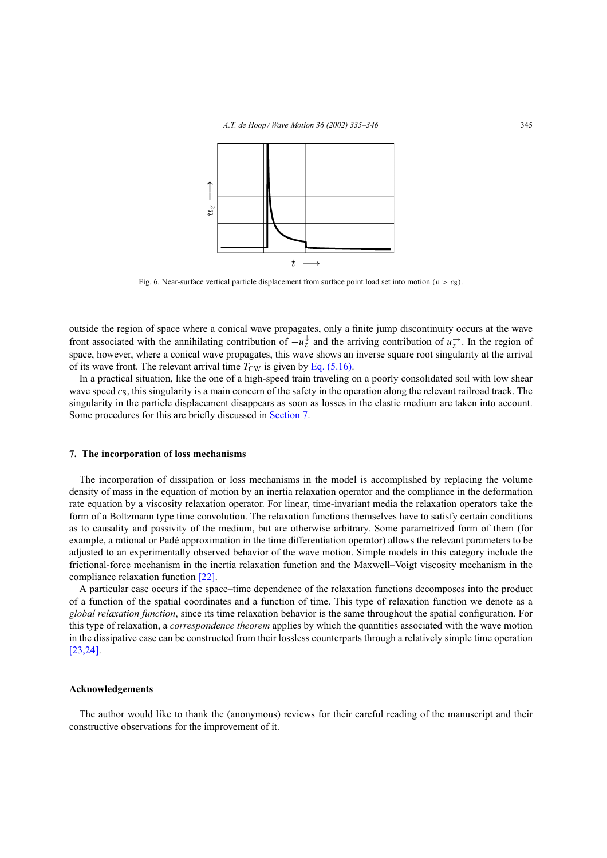

Fig. 6. Near-surface vertical particle displacement from surface point load set into motion ( $v > c<sub>S</sub>$ ).

outside the region of space where a conical wave propagates, only a finite jump discontinuity occurs at the wave front associated with the annihilating contribution of  $-u_z^{\downarrow}$  and the arriving contribution of  $u_z^{\rightarrow}$ . In the region of space, however, where a conical wave propagates, this wave shows an inverse square root singularity at the arrival of its wave front. The relevant arrival time  $T_{CW}$  is given by Eq. (5.16).

In a practical situation, like the one of a high-speed train traveling on a poorly consolidated soil with low shear wave speed  $c<sub>S</sub>$ , this singularity is a main concern of the safety in the operation along the relevant railroad track. The singularity in the particle displacement disappears as soon as losses in the elastic medium are taken into account. Some procedures for this are briefly discussed in Section 7.

#### **7. The incorporation of loss mechanisms**

The incorporation of dissipation or loss mechanisms in the model is accomplished by replacing the volume density of mass in the equation of motion by an inertia relaxation operator and the compliance in the deformation rate equation by a viscosity relaxation operator. For linear, time-invariant media the relaxation operators take the form of a Boltzmann type time convolution. The relaxation functions themselves have to satisfy certain conditions as to causality and passivity of the medium, but are otherwise arbitrary. Some parametrized form of them (for example, a rational or Padé approximation in the time differentiation operator) allows the relevant parameters to be adjusted to an experimentally observed behavior of the wave motion. Simple models in this category include the frictional-force mechanism in the inertia relaxation function and the Maxwell–Voigt viscosity mechanism in the compliance relaxation function [22].

A particular case occurs if the space–time dependence of the relaxation functions decomposes into the product of a function of the spatial coordinates and a function of time. This type of relaxation function we denote as a *global relaxation function*, since its time relaxation behavior is the same throughout the spatial configuration. For this type of relaxation, a *correspondence theorem* applies by which the quantities associated with the wave motion in the dissipative case can be constructed from their lossless counterparts through a relatively simple time operation [23,24].

## **Acknowledgements**

The author would like to thank the (anonymous) reviews for their careful reading of the manuscript and their constructive observations for the improvement of it.